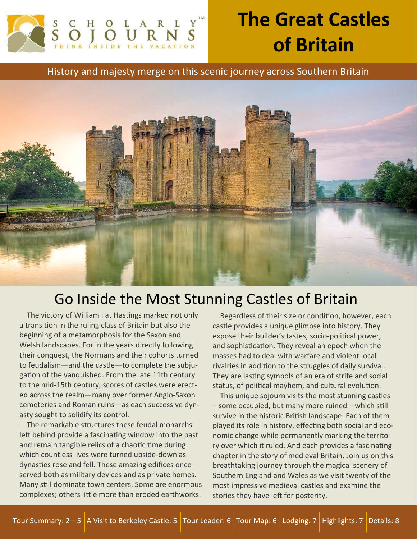

# **The Great Castles of Britain**

History and majesty merge on this scenic journey across Southern Britain



# Go Inside the Most Stunning Castles of Britain

The victory of William I at Hastings marked not only a transition in the ruling class of Britain but also the beginning of a metamorphosis for the Saxon and Welsh landscapes. For in the years directly following their conquest, the Normans and their cohorts turned to feudalism—and the castle—to complete the subjugation of the vanquished. From the late 11th century to the mid-15th century, scores of castles were erected across the realm—many over former Anglo-Saxon cemeteries and Roman ruins—as each successive dynasty sought to solidify its control.

 The remarkable structures these feudal monarchs left behind provide a fascinating window into the past and remain tangible relics of a chaotic time during which countless lives were turned upside-down as dynasties rose and fell. These amazing edifices once served both as military devices and as private homes. Many still dominate town centers. Some are enormous complexes; others little more than eroded earthworks.

Regardless of their size or condition, however, each castle provides a unique glimpse into history. They expose their builder's tastes, socio-political power, and sophistication. They reveal an epoch when the masses had to deal with warfare and violent local rivalries in addition to the struggles of daily survival. They are lasting symbols of an era of strife and social status, of political mayhem, and cultural evolution.

 This unique sojourn visits the most stunning castles – some occupied, but many more ruined – which still survive in the historic British landscape. Each of them played its role in history, effecting both social and economic change while permanently marking the territory over which it ruled. And each provides a fascinating chapter in the story of medieval Britain. Join us on this breathtaking journey through the magical scenery of Southern England and Wales as we visit twenty of the most impressive medieval castles and examine the stories they have left for posterity.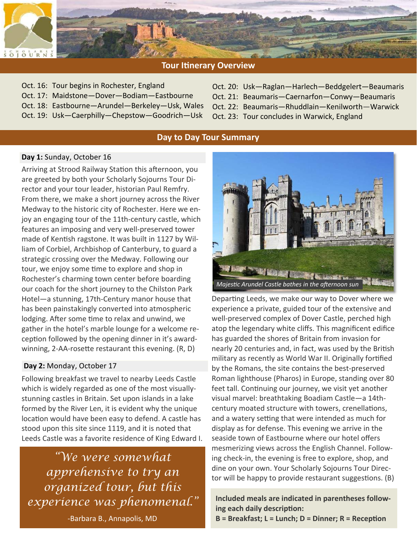

# **Tour Itinerary Overview**

- Oct. 16: Tour begins in Rochester, England
- Oct. 17: Maidstone—Dover—Bodiam—Eastbourne
- Oct. 18: Eastbourne—Arundel—Berkeley—Usk, Wales
- Oct. 19: Usk—Caerphilly—Chepstow—Goodrich—Usk
- Oct. 20: Usk—Raglan—Harlech—Beddgelert—Beaumaris
- Oct. 21: Beaumaris—Caernarfon—Conwy—Beaumaris
- Oct. 22: Beaumaris—Rhuddlain—Kenilworth—Warwick
- Oct. 23: Tour concludes in Warwick, England

# **Day to Day Tour Summary**

# **Day 1:** Sunday, October 16

Arriving at Strood Railway Station this afternoon, you are greeted by both your Scholarly Sojourns Tour Director and your tour leader, historian Paul Remfry. From there, we make a short journey across the River Medway to the historic city of Rochester. Here we enjoy an engaging tour of the 11th-century castle, which features an imposing and very well-preserved tower made of Kentish ragstone. It was built in 1127 by William of Corbiel, Archbishop of Canterbury, to guard a strategic crossing over the Medway. Following our tour, we enjoy some time to explore and shop in Rochester's charming town center before boarding our coach for the short journey to the Chilston Park Hotel—a stunning, 17th-Century manor house that has been painstakingly converted into atmospheric lodging. After some time to relax and unwind, we gather in the hotel's marble lounge for a welcome reception followed by the opening dinner in it's awardwinning, 2-AA-rosette restaurant this evening. (R, D)

# **Day 2:** Monday, October 17

Following breakfast we travel to nearby Leeds Castle which is widely regarded as one of the most visuallystunning castles in Britain. Set upon islands in a lake formed by the River Len, it is evident why the unique location would have been easy to defend. A castle has stood upon this site since 1119, and it is noted that Leeds Castle was a favorite residence of King Edward I.

*"We were somewhat apprehensive to try an organized tour, but this experience was phenomenal."* 

-Barbara B., Annapolis, MD



Departing Leeds, we make our way to Dover where we experience a private, guided tour of the extensive and well-preserved complex of Dover Castle, perched high atop the legendary white cliffs. This magnificent edifice has guarded the shores of Britain from invasion for nearly 20 centuries and, in fact, was used by the British military as recently as World War II. Originally fortified by the Romans, the site contains the best-preserved Roman lighthouse (Pharos) in Europe, standing over 80 feet tall. Continuing our journey, we visit yet another visual marvel: breathtaking Boadiam Castle—a 14thcentury moated structure with towers, crenellations, and a watery setting that were intended as much for display as for defense. This evening we arrive in the seaside town of Eastbourne where our hotel offers mesmerizing views across the English Channel. Following check-in, the evening is free to explore, shop, and dine on your own. Your Scholarly Sojourns Tour Director will be happy to provide restaurant suggestions. (B)

**Included meals are indicated in parentheses following each daily description:** 

**B = Breakfast; L = Lunch; D = Dinner; R = Reception**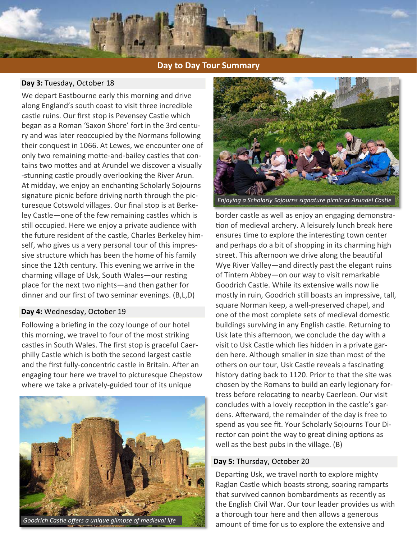

# **Day to Day Tour Summary**

# **Day 3:** Tuesday, October 18

We depart Eastbourne early this morning and drive along England's south coast to visit three incredible castle ruins. Our first stop is Pevensey Castle which began as a Roman 'Saxon Shore' fort in the 3rd century and was later reoccupied by the Normans following their conquest in 1066. At Lewes, we encounter one of only two remaining moƩe-and-bailey castles that contains two mottes and at Arundel we discover a visually -stunning castle proudly overlooking the River Arun. At midday, we enjoy an enchanting Scholarly Sojourns signature picnic before driving north through the picturesque Cotswold villages. Our final stop is at Berkeley Castle—one of the few remaining castles which is still occupied. Here we enjoy a private audience with the future resident of the castle, Charles Berkeley himself, who gives us a very personal tour of this impressive structure which has been the home of his family since the 12th century. This evening we arrive in the charming village of Usk, South Wales-our resting place for the next two nights—and then gather for dinner and our first of two seminar evenings. (B,L,D)

# **Day 4:** Wednesday, October 19

Following a briefing in the cozy lounge of our hotel this morning, we travel to four of the most striking castles in South Wales. The first stop is graceful Caerphilly Castle which is both the second largest castle and the first fully-concentric castle in Britain. After an engaging tour here we travel to picturesque Chepstow where we take a privately-guided tour of its unique





*Enjoying a Scholarly Sojourns signature picnic at Arundel Castle* 

border castle as well as enjoy an engaging demonstration of medieval archery. A leisurely lunch break here ensures time to explore the interesting town center and perhaps do a bit of shopping in its charming high street. This afternoon we drive along the beautiful Wye River Valley—and directly past the elegant ruins of Tintern Abbey—on our way to visit remarkable Goodrich Castle. While its extensive walls now lie mostly in ruin, Goodrich still boasts an impressive, tall, square Norman keep, a well-preserved chapel, and one of the most complete sets of medieval domestic buildings surviving in any English castle. Returning to Usk late this afternoon, we conclude the day with a visit to Usk Castle which lies hidden in a private garden here. Although smaller in size than most of the others on our tour, Usk Castle reveals a fascinating history dating back to 1120. Prior to that the site was chosen by the Romans to build an early legionary fortress before relocating to nearby Caerleon. Our visit concludes with a lovely reception in the castle's gardens. Afterward, the remainder of the day is free to spend as you see fit. Your Scholarly Sojourns Tour Director can point the way to great dining options as well as the best pubs in the village. (B)

# **Day 5:** Thursday, October 20

Departing Usk, we travel north to explore mighty Raglan Castle which boasts strong, soaring ramparts that survived cannon bombardments as recently as the English Civil War. Our tour leader provides us with a thorough tour here and then allows a generous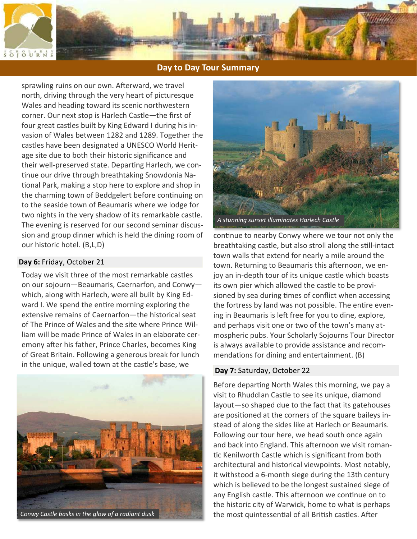

# **Day to Day Tour Summary**

sprawling ruins on our own. Afterward, we travel north, driving through the very heart of picturesque Wales and heading toward its scenic northwestern corner. Our next stop is Harlech Castle—the first of four great castles built by King Edward I during his invasion of Wales between 1282 and 1289. Together the castles have been designated a UNESCO World Heritage site due to both their historic significance and their well-preserved state. Departing Harlech, we continue our drive through breathtaking Snowdonia National Park, making a stop here to explore and shop in the charming town of Beddgelert before continuing on to the seaside town of Beaumaris where we lodge for two nights in the very shadow of its remarkable castle. The evening is reserved for our second seminar discussion and group dinner which is held the dining room of our historic hotel. (B,L,D)

# **Day 6:** Friday, October 21

Today we visit three of the most remarkable castles on our sojourn—Beaumaris, Caernarfon, and Conwy which, along with Harlech, were all built by King Edward I. We spend the entire morning exploring the extensive remains of Caernarfon—the historical seat of The Prince of Wales and the site where Prince William will be made Prince of Wales in an elaborate ceremony after his father, Prince Charles, becomes King of Great Britain. Following a generous break for lunch in the unique, walled town at the castle's base, we **Day 7:** Saturday, October 22





continue to nearby Conwy where we tour not only the breathtaking castle, but also stroll along the still-intact town walls that extend for nearly a mile around the town. Returning to Beaumaris this afternoon, we enjoy an in-depth tour of its unique castle which boasts its own pier which allowed the castle to be provisioned by sea during times of conflict when accessing the fortress by land was not possible. The entire evening in Beaumaris is left free for you to dine, explore, and perhaps visit one or two of the town's many atmospheric pubs. Your Scholarly Sojourns Tour Director is always available to provide assistance and recommendations for dining and entertainment. (B)

Before departing North Wales this morning, we pay a visit to Rhuddlan Castle to see its unique, diamond layout—so shaped due to the fact that its gatehouses are positioned at the corners of the square baileys instead of along the sides like at Harlech or Beaumaris. Following our tour here, we head south once again and back into England. This afternoon we visit romantic Kenilworth Castle which is significant from both architectural and historical viewpoints. Most notably, it withstood a 6-month siege during the 13th century which is believed to be the longest sustained siege of any English castle. This afternoon we continue on to the historic city of Warwick, home to what is perhaps the most quintessential of all British castles. After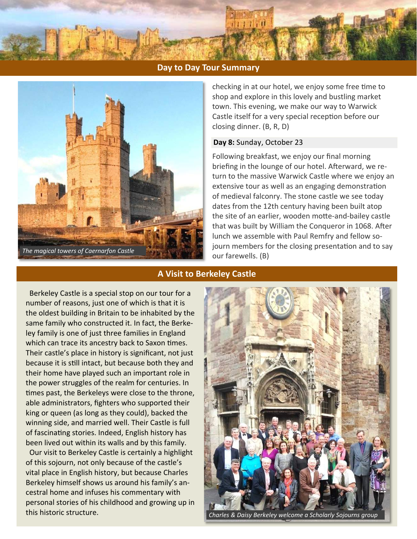



checking in at our hotel, we enjoy some free time to shop and explore in this lovely and bustling market town. This evening, we make our way to Warwick Castle itself for a very special reception before our closing dinner. (B, R, D)

# **Day 8:** Sunday, October 23

Following breakfast, we enjoy our final morning briefing in the lounge of our hotel. Afterward, we return to the massive Warwick Castle where we enjoy an extensive tour as well as an engaging demonstration of medieval falconry. The stone castle we see today dates from the 12th century having been built atop the site of an earlier, wooden motte-and-bailey castle that was built by William the Conqueror in 1068. After lunch we assemble with Paul Remfry and fellow sojourn members for the closing presentation and to say our farewells. (B)

# **A Visit to Berkeley Castle**

 Berkeley Castle is a special stop on our tour for a number of reasons, just one of which is that it is the oldest building in Britain to be inhabited by the same family who constructed it. In fact, the Berkeley family is one of just three families in England which can trace its ancestry back to Saxon times. Their castle's place in history is significant, not just because it is still intact, but because both they and their home have played such an important role in the power struggles of the realm for centuries. In times past, the Berkeleys were close to the throne, able administrators, fighters who supported their king or queen (as long as they could), backed the winning side, and married well. Their Castle is full of fascinating stories. Indeed, English history has been lived out within its walls and by this family.

 Our visit to Berkeley Castle is certainly a highlight of this sojourn, not only because of the castle's vital place in English history, but because Charles Berkeley himself shows us around his family's ancestral home and infuses his commentary with personal stories of his childhood and growing up in this historic structure.



*Charles & Daisy Berkeley welcome a Scholarly Sojourns group*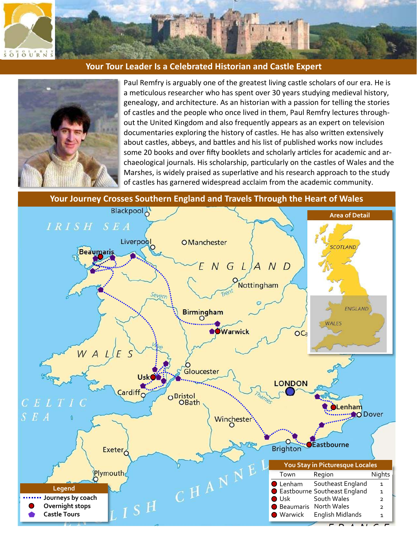

# **Your Tour Leader Is a Celebrated Historian and Castle Expert**



Paul Remfry is arguably one of the greatest living castle scholars of our era. He is a meticulous researcher who has spent over 30 years studying medieval history, genealogy, and architecture. As an historian with a passion for telling the stories of castles and the people who once lived in them, Paul Remfry lectures throughout the United Kingdom and also frequently appears as an expert on television documentaries exploring the history of castles. He has also written extensively about castles, abbeys, and battles and his list of published works now includes some 20 books and over fifty booklets and scholarly articles for academic and archaeological journals. His scholarship, particularly on the castles of Wales and the Marshes, is widely praised as superlative and his research approach to the study of castles has garnered widespread acclaim from the academic community.

**Your Journey Crosses Southern England and Travels Through the Heart of Wales** 

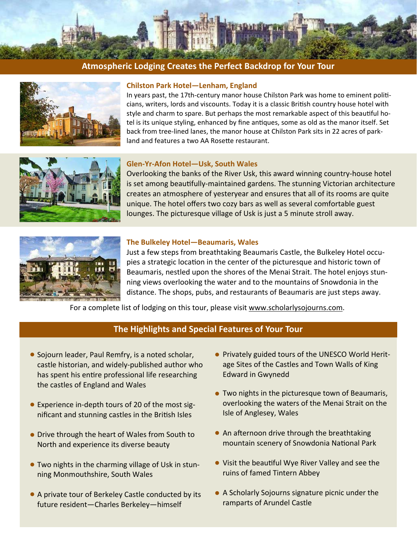

# **Atmospheric Lodging Creates the Perfect Backdrop for Your Tour**



# **Chilston Park Hotel—Lenham, England**

In years past, the 17th-century manor house Chilston Park was home to eminent politicians, writers, lords and viscounts. Today it is a classic British country house hotel with style and charm to spare. But perhaps the most remarkable aspect of this beautiful hotel is its unique styling, enhanced by fine antiques, some as old as the manor itself. Set back from tree-lined lanes, the manor house at Chilston Park sits in 22 acres of parkland and features a two AA Rosette restaurant.



#### **Glen-Yr-Afon Hotel—Usk, South Wales**

Overlooking the banks of the River Usk, this award winning country-house hotel is set among beautifully-maintained gardens. The stunning Victorian architecture creates an atmosphere of yesteryear and ensures that all of its rooms are quite unique. The hotel offers two cozy bars as well as several comfortable guest lounges. The picturesque village of Usk is just a 5 minute stroll away.



#### **The Bulkeley Hotel—Beaumaris, Wales**

Just a few steps from breathtaking Beaumaris Castle, the Bulkeley Hotel occupies a strategic location in the center of the picturesque and historic town of Beaumaris, nestled upon the shores of the Menai Strait. The hotel enjoys stunning views overlooking the water and to the mountains of Snowdonia in the distance. The shops, pubs, and restaurants of Beaumaris are just steps away.

For a complete list of lodging on this tour, please visit www.scholarlysojourns.com.

# **The Highlights and Special Features of Your Tour**

- Sojourn leader, Paul Remfry, is a noted scholar, castle historian, and widely-published author who has spent his entire professional life researching the castles of England and Wales
- Experience in-depth tours of 20 of the most significant and stunning castles in the British Isles
- Drive through the heart of Wales from South to North and experience its diverse beauty
- Two nights in the charming village of Usk in stunning Monmouthshire, South Wales
- A private tour of Berkeley Castle conducted by its future resident—Charles Berkeley—himself
- Privately guided tours of the UNESCO World Heritage Sites of the Castles and Town Walls of King Edward in Gwynedd
- Two nights in the picturesque town of Beaumaris, overlooking the waters of the Menai Strait on the Isle of Anglesey, Wales
- $\bullet$  An afternoon drive through the breathtaking mountain scenery of Snowdonia National Park
- Visit the beautiful Wye River Valley and see the ruins of famed Tintern Abbey
- A Scholarly Sojourns signature picnic under the ramparts of Arundel Castle